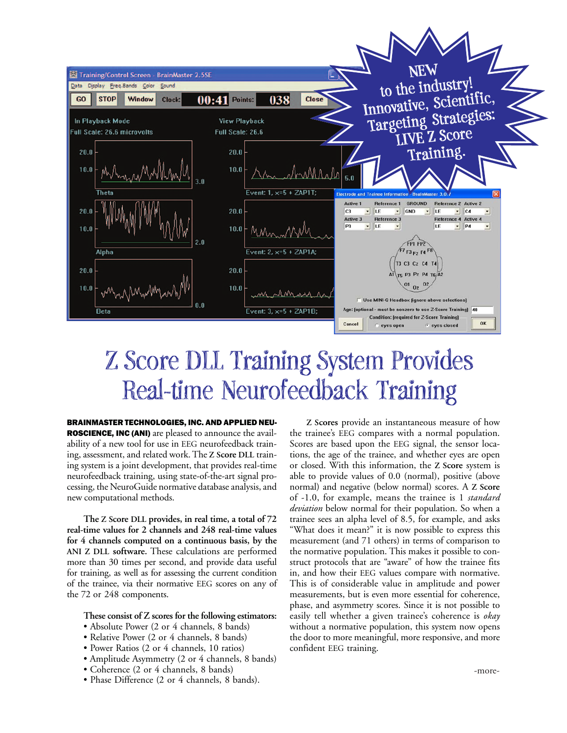

## Z Score DLL Training System Provides Real-time Neurofeedback Training

BRAINMASTER TECHNOLOGIES, INC. AND APPLIED NEU-ROSCIENCE, INC (ANI) are pleased to announce the availability of a new tool for use in EEG neurofeedback training, assessment, and related work. The **Z Score DLL** training system is a joint development, that provides real-time neurofeedback training, using state-of-the-art signal processing, the NeuroGuide normative database analysis, and new computational methods.

**The Z Score DLL provides, in real time, a total of 72 real-time values for 2 channels and 248 real-time values for 4 channels computed on a continuous basis, by the ANI Z DLL software.** These calculations are performed more than 30 times per second, and provide data useful for training, as well as for assessing the current condition of the trainee, via their normative EEG scores on any of the 72 or 248 components.

## **These consist of Z scores for the following estimators:**

- Absolute Power (2 or 4 channels, 8 bands)
- Relative Power (2 or 4 channels, 8 bands)
- Power Ratios (2 or 4 channels, 10 ratios)
- Amplitude Asymmetry (2 or 4 channels, 8 bands)
- Coherence (2 or 4 channels, 8 bands)
- Phase Difference (2 or 4 channels, 8 bands).

**Z Scores** provide an instantaneous measure of how the trainee's EEG compares with a normal population. Scores are based upon the EEG signal, the sensor locations, the age of the trainee, and whether eyes are open or closed. With this information, the **Z Score** system is able to provide values of 0.0 (normal), positive (above normal) and negative (below normal) scores. A **Z Score** of -1.0, for example, means the trainee is 1 *standard deviation* below normal for their population. So when a trainee sees an alpha level of 8.5, for example, and asks "What does it mean?" it is now possible to express this measurement (and 71 others) in terms of comparison to the normative population. This makes it possible to construct protocols that are "aware" of how the trainee fits in, and how their EEG values compare with normative. This is of considerable value in amplitude and power measurements, but is even more essential for coherence, phase, and asymmetry scores. Since it is not possible to easily tell whether a given trainee's coherence is *okay* without a normative population, this system now opens the door to more meaningful, more responsive, and more confident EEG training.